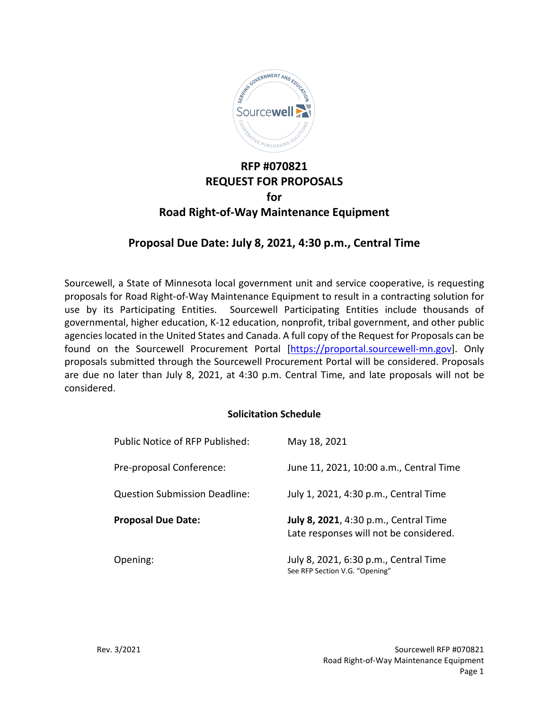

# **RFP #070821 REQUEST FOR PROPOSALS for Road Right-of-Way Maintenance Equipment**

# **Proposal Due Date: July 8, 2021, 4:30 p.m., Central Time**

Sourcewell, a State of Minnesota local government unit and service cooperative, is requesting proposals for Road Right-of-Way Maintenance Equipment to result in a contracting solution for use by its Participating Entities. Sourcewell Participating Entities include thousands of governmental, higher education, K-12 education, nonprofit, tribal government, and other public agencies located in the United States and Canada. A full copy of the Request for Proposals can be found on the Sourcewell Procurement Portal [\[https://proportal.sourcewell-mn.gov\]](https://proportal.sourcewell-mn.gov/). Only proposals submitted through the Sourcewell Procurement Portal will be considered. Proposals are due no later than July 8, 2021, at 4:30 p.m. Central Time, and late proposals will not be considered.

#### **Solicitation Schedule**

| Public Notice of RFP Published:      | May 18, 2021                                                                    |
|--------------------------------------|---------------------------------------------------------------------------------|
| Pre-proposal Conference:             | June 11, 2021, 10:00 a.m., Central Time                                         |
| <b>Question Submission Deadline:</b> | July 1, 2021, 4:30 p.m., Central Time                                           |
| <b>Proposal Due Date:</b>            | July 8, 2021, 4:30 p.m., Central Time<br>Late responses will not be considered. |
| Opening:                             | July 8, 2021, 6:30 p.m., Central Time<br>See RFP Section V.G. "Opening"         |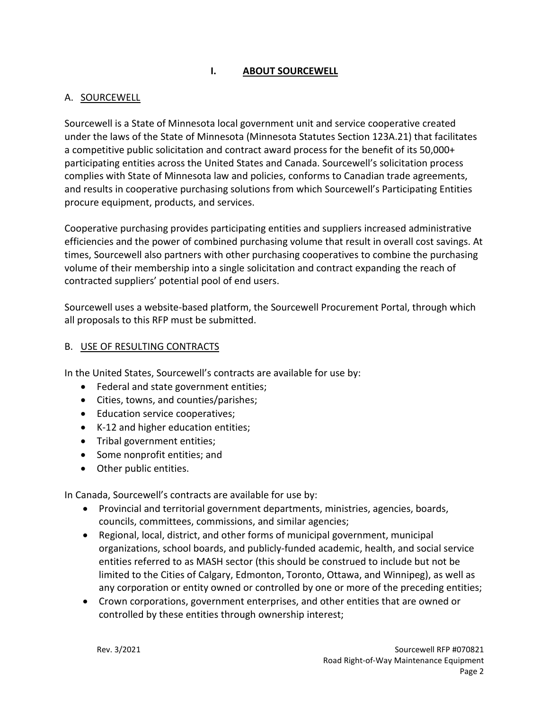# **I. ABOUT SOURCEWELL**

## A. SOURCEWELL

Sourcewell is a State of Minnesota local government unit and service cooperative created under the laws of the State of Minnesota (Minnesota Statutes Section 123A.21) that facilitates a competitive public solicitation and contract award process for the benefit of its 50,000+ participating entities across the United States and Canada. Sourcewell's solicitation process complies with State of Minnesota law and policies, conforms to Canadian trade agreements, and results in cooperative purchasing solutions from which Sourcewell's Participating Entities procure equipment, products, and services.

Cooperative purchasing provides participating entities and suppliers increased administrative efficiencies and the power of combined purchasing volume that result in overall cost savings. At times, Sourcewell also partners with other purchasing cooperatives to combine the purchasing volume of their membership into a single solicitation and contract expanding the reach of contracted suppliers' potential pool of end users.

Sourcewell uses a website-based platform, the Sourcewell Procurement Portal, through which all proposals to this RFP must be submitted.

### B. USE OF RESULTING CONTRACTS

In the United States, Sourcewell's contracts are available for use by:

- Federal and state government entities;
- Cities, towns, and counties/parishes;
- Education service cooperatives;
- K-12 and higher education entities;
- Tribal government entities;
- Some nonprofit entities; and
- Other public entities.

In Canada, Sourcewell's contracts are available for use by:

- Provincial and territorial government departments, ministries, agencies, boards, councils, committees, commissions, and similar agencies;
- Regional, local, district, and other forms of municipal government, municipal organizations, school boards, and publicly-funded academic, health, and social service entities referred to as MASH sector (this should be construed to include but not be limited to the Cities of Calgary, Edmonton, Toronto, Ottawa, and Winnipeg), as well as any corporation or entity owned or controlled by one or more of the preceding entities;
- Crown corporations, government enterprises, and other entities that are owned or controlled by these entities through ownership interest;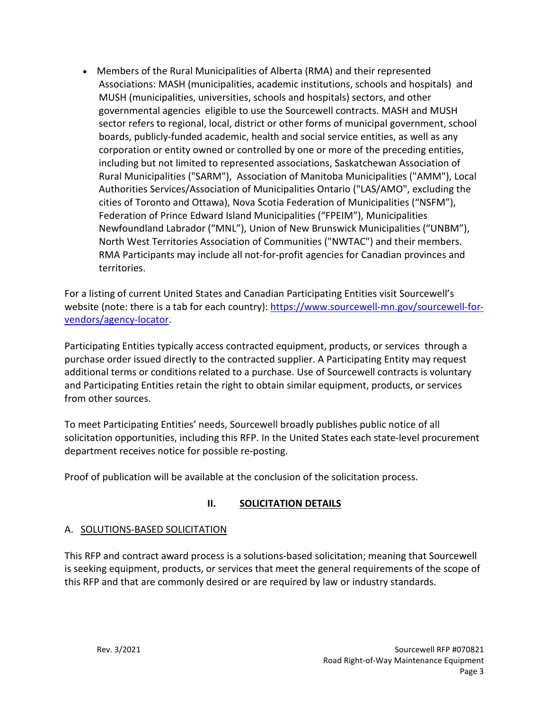• Members of the Rural Municipalities of Alberta (RMA) and their represented Associations: MASH (municipalities, academic institutions, schools and hospitals) and MUSH (municipalities, universities, schools and hospitals) sectors, and other governmental agencies eligible to use the Sourcewell contracts. MASH and MUSH sector refers to regional, local, district or other forms of municipal government, school boards, publicly-funded academic, health and social service entities, as well as any corporation or entity owned or controlled by one or more of the preceding entities, including but not limited to represented associations, Saskatchewan Association of Rural Municipalities ("SARM"), Association of Manitoba Municipalities ("AMM"), Local Authorities Services/Association of Municipalities Ontario ("LAS/AMO", excluding the cities of Toronto and Ottawa), Nova Scotia Federation of Municipalities ("NSFM"), Federation of Prince Edward Island Municipalities ("FPEIM"), Municipalities Newfoundland Labrador ("MNL"), Union of New Brunswick Municipalities ("UNBM"), North West Territories Association of Communities ("NWTAC") and their members. RMA Participants may include all not-for-profit agencies for Canadian provinces and territories.

For a listing of current United States and Canadian Participating Entities visit Sourcewell's website (note: there is a tab for each country)[: https://www.sourcewell-mn.gov/sourcewell-for](https://www.sourcewell-mn.gov/sourcewell-for-vendors/agency-locator)[vendors/agency-locator.](https://www.sourcewell-mn.gov/sourcewell-for-vendors/agency-locator)

Participating Entities typically access contracted equipment, products, or services through a purchase order issued directly to the contracted supplier. A Participating Entity may request additional terms or conditions related to a purchase. Use of Sourcewell contracts is voluntary and Participating Entities retain the right to obtain similar equipment, products, or services from other sources.

To meet Participating Entities' needs, Sourcewell broadly publishes public notice of all solicitation opportunities, including this RFP. In the United States each state-level procurement department receives notice for possible re-posting.

Proof of publication will be available at the conclusion of the solicitation process.

## **II. SOLICITATION DETAILS**

## A. SOLUTIONS-BASED SOLICITATION

This RFP and contract award process is a solutions-based solicitation; meaning that Sourcewell is seeking equipment, products, or services that meet the general requirements of the scope of this RFP and that are commonly desired or are required by law or industry standards.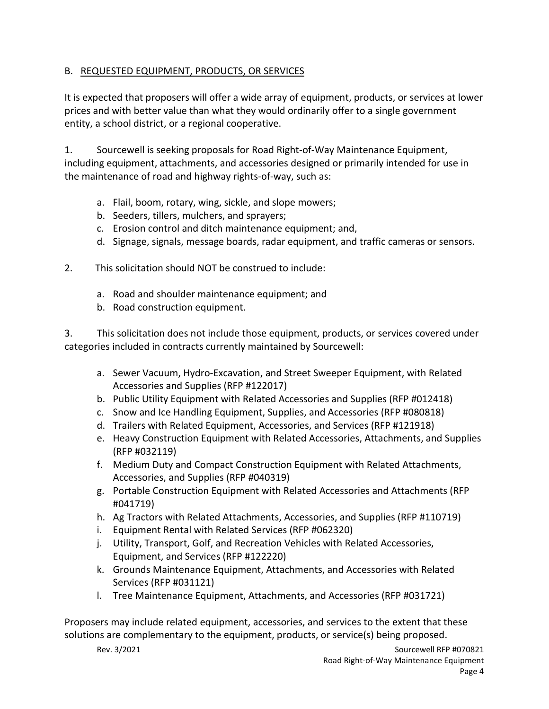# B. REQUESTED EQUIPMENT, PRODUCTS, OR SERVICES

It is expected that proposers will offer a wide array of equipment, products, or services at lower prices and with better value than what they would ordinarily offer to a single government entity, a school district, or a regional cooperative.

1. Sourcewell is seeking proposals for Road Right-of-Way Maintenance Equipment, including equipment, attachments, and accessories designed or primarily intended for use in the maintenance of road and highway rights-of-way, such as:

- a. Flail, boom, rotary, wing, sickle, and slope mowers;
- b. Seeders, tillers, mulchers, and sprayers;
- c. Erosion control and ditch maintenance equipment; and,
- d. Signage, signals, message boards, radar equipment, and traffic cameras or sensors.
- 2. This solicitation should NOT be construed to include:
	- a. Road and shoulder maintenance equipment; and
	- b. Road construction equipment.

3. This solicitation does not include those equipment, products, or services covered under categories included in contracts currently maintained by Sourcewell:

- a. Sewer Vacuum, Hydro-Excavation, and Street Sweeper Equipment, with Related Accessories and Supplies (RFP #122017)
- b. Public Utility Equipment with Related Accessories and Supplies (RFP #012418)
- c. Snow and Ice Handling Equipment, Supplies, and Accessories (RFP #080818)
- d. Trailers with Related Equipment, Accessories, and Services (RFP #121918)
- e. Heavy Construction Equipment with Related Accessories, Attachments, and Supplies (RFP #032119)
- f. Medium Duty and Compact Construction Equipment with Related Attachments, Accessories, and Supplies (RFP #040319)
- g. Portable Construction Equipment with Related Accessories and Attachments (RFP #041719)
- h. Ag Tractors with Related Attachments, Accessories, and Supplies (RFP #110719)
- i. Equipment Rental with Related Services (RFP #062320)
- j. Utility, Transport, Golf, and Recreation Vehicles with Related Accessories, Equipment, and Services (RFP #122220)
- k. Grounds Maintenance Equipment, Attachments, and Accessories with Related Services (RFP #031121)
- l. Tree Maintenance Equipment, Attachments, and Accessories (RFP #031721)

Proposers may include related equipment, accessories, and services to the extent that these solutions are complementary to the equipment, products, or service(s) being proposed.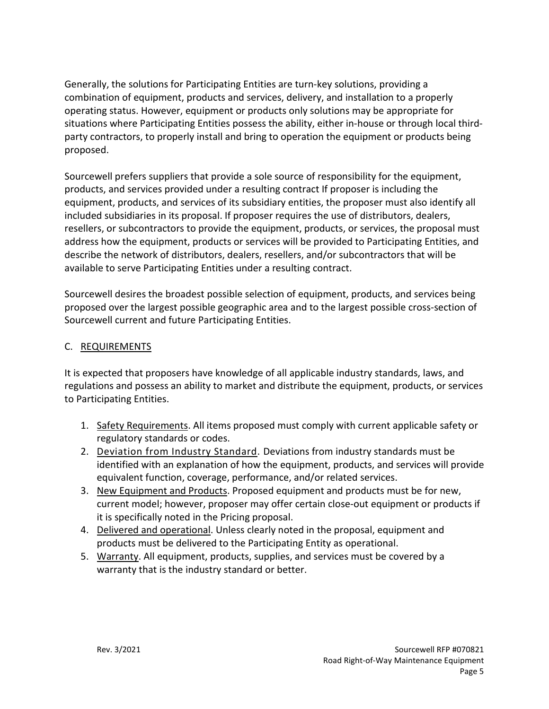Generally, the solutions for Participating Entities are turn-key solutions, providing a combination of equipment, products and services, delivery, and installation to a properly operating status. However, equipment or products only solutions may be appropriate for situations where Participating Entities possess the ability, either in-house or through local thirdparty contractors, to properly install and bring to operation the equipment or products being proposed.

Sourcewell prefers suppliers that provide a sole source of responsibility for the equipment, products, and services provided under a resulting contract If proposer is including the equipment, products, and services of its subsidiary entities, the proposer must also identify all included subsidiaries in its proposal. If proposer requires the use of distributors, dealers, resellers, or subcontractors to provide the equipment, products, or services, the proposal must address how the equipment, products or services will be provided to Participating Entities, and describe the network of distributors, dealers, resellers, and/or subcontractors that will be available to serve Participating Entities under a resulting contract.

Sourcewell desires the broadest possible selection of equipment, products, and services being proposed over the largest possible geographic area and to the largest possible cross-section of Sourcewell current and future Participating Entities.

## C. REQUIREMENTS

It is expected that proposers have knowledge of all applicable industry standards, laws, and regulations and possess an ability to market and distribute the equipment, products, or services to Participating Entities.

- 1. Safety Requirements. All items proposed must comply with current applicable safety or regulatory standards or codes.
- 2. Deviation from Industry Standard. Deviations from industry standards must be identified with an explanation of how the equipment, products, and services will provide equivalent function, coverage, performance, and/or related services.
- 3. New Equipment and Products. Proposed equipment and products must be for new, current model; however, proposer may offer certain close-out equipment or products if it is specifically noted in the Pricing proposal.
- 4. Delivered and operational. Unless clearly noted in the proposal, equipment and products must be delivered to the Participating Entity as operational.
- 5. Warranty. All equipment, products, supplies, and services must be covered by a warranty that is the industry standard or better.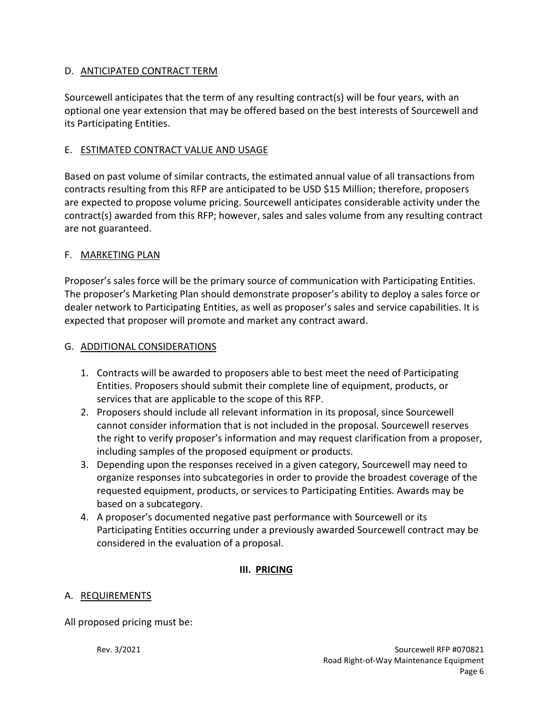## D. ANTICIPATED CONTRACT TERM

Sourcewell anticipates that the term of any resulting contract(s) will be four years, with an optional one year extension that may be offered based on the best interests of Sourcewell and its Participating Entities.

# E. ESTIMATED CONTRACT VALUE AND USAGE

Based on past volume of similar contracts, the estimated annual value of all transactions from contracts resulting from this RFP are anticipated to be USD \$15 Million; therefore, proposers are expected to propose volume pricing. Sourcewell anticipates considerable activity under the contract(s) awarded from this RFP; however, sales and sales volume from any resulting contract are not guaranteed.

## F. MARKETING PLAN

Proposer's sales force will be the primary source of communication with Participating Entities. The proposer's Marketing Plan should demonstrate proposer's ability to deploy a sales force or dealer network to Participating Entities, as well as proposer's sales and service capabilities. It is expected that proposer will promote and market any contract award.

## G. ADDITIONAL CONSIDERATIONS

- 1. Contracts will be awarded to proposers able to best meet the need of Participating Entities. Proposers should submit their complete line of equipment, products, or services that are applicable to the scope of this RFP.
- 2. Proposers should include all relevant information in its proposal, since Sourcewell cannot consider information that is not included in the proposal. Sourcewell reserves the right to verify proposer's information and may request clarification from a proposer, including samples of the proposed equipment or products.
- 3. Depending upon the responses received in a given category, Sourcewell may need to organize responses into subcategories in order to provide the broadest coverage of the requested equipment, products, or services to Participating Entities. Awards may be based on a subcategory.
- 4. A proposer's documented negative past performance with Sourcewell or its Participating Entities occurring under a previously awarded Sourcewell contract may be considered in the evaluation of a proposal.

# **III. PRICING**

# A. REQUIREMENTS

All proposed pricing must be: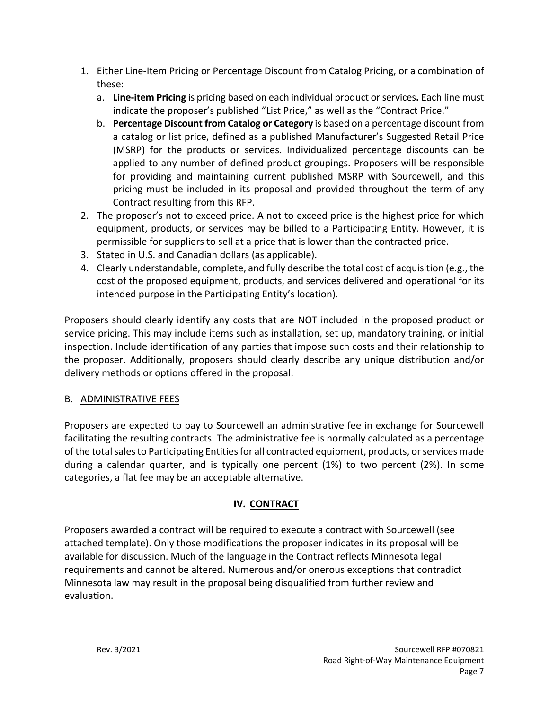- 1. Either Line-Item Pricing or Percentage Discount from Catalog Pricing, or a combination of these:
	- a. **Line-item Pricing** is pricing based on each individual product or services**.** Each line must indicate the proposer's published "List Price," as well as the "Contract Price."
	- b. **Percentage Discount from Catalog or Category** is based on a percentage discount from a catalog or list price, defined as a published Manufacturer's Suggested Retail Price (MSRP) for the products or services. Individualized percentage discounts can be applied to any number of defined product groupings. Proposers will be responsible for providing and maintaining current published MSRP with Sourcewell, and this pricing must be included in its proposal and provided throughout the term of any Contract resulting from this RFP.
- 2. The proposer's not to exceed price. A not to exceed price is the highest price for which equipment, products, or services may be billed to a Participating Entity. However, it is permissible for suppliers to sell at a price that is lower than the contracted price.
- 3. Stated in U.S. and Canadian dollars (as applicable).
- 4. Clearly understandable, complete, and fully describe the total cost of acquisition (e.g., the cost of the proposed equipment, products, and services delivered and operational for its intended purpose in the Participating Entity's location).

Proposers should clearly identify any costs that are NOT included in the proposed product or service pricing. This may include items such as installation, set up, mandatory training, or initial inspection. Include identification of any parties that impose such costs and their relationship to the proposer. Additionally, proposers should clearly describe any unique distribution and/or delivery methods or options offered in the proposal.

# B. ADMINISTRATIVE FEES

Proposers are expected to pay to Sourcewell an administrative fee in exchange for Sourcewell facilitating the resulting contracts. The administrative fee is normally calculated as a percentage of the total sales to Participating Entitiesfor all contracted equipment, products, or services made during a calendar quarter, and is typically one percent (1%) to two percent (2%). In some categories, a flat fee may be an acceptable alternative.

# **IV. CONTRACT**

Proposers awarded a contract will be required to execute a contract with Sourcewell (see attached template). Only those modifications the proposer indicates in its proposal will be available for discussion. Much of the language in the Contract reflects Minnesota legal requirements and cannot be altered. Numerous and/or onerous exceptions that contradict Minnesota law may result in the proposal being disqualified from further review and evaluation.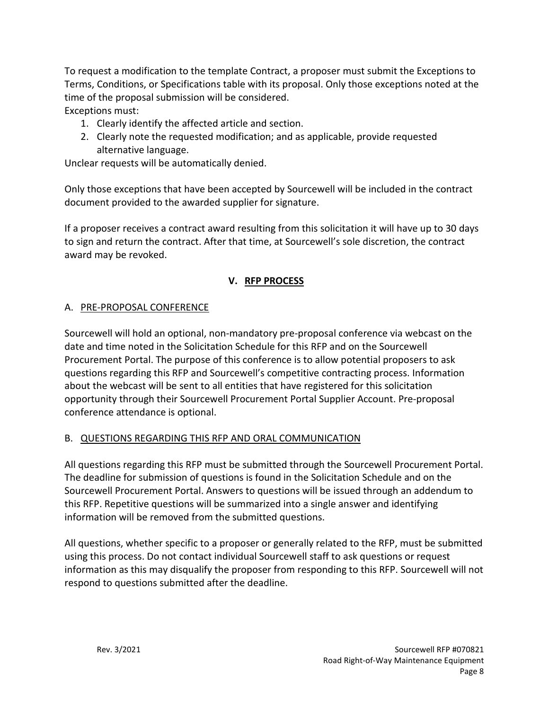To request a modification to the template Contract, a proposer must submit the Exceptions to Terms, Conditions, or Specifications table with its proposal. Only those exceptions noted at the time of the proposal submission will be considered.

Exceptions must:

- 1. Clearly identify the affected article and section.
- 2. Clearly note the requested modification; and as applicable, provide requested alternative language.

Unclear requests will be automatically denied.

Only those exceptions that have been accepted by Sourcewell will be included in the contract document provided to the awarded supplier for signature.

If a proposer receives a contract award resulting from this solicitation it will have up to 30 days to sign and return the contract. After that time, at Sourcewell's sole discretion, the contract award may be revoked.

## **V. RFP PROCESS**

## A. PRE-PROPOSAL CONFERENCE

Sourcewell will hold an optional, non-mandatory pre-proposal conference via webcast on the date and time noted in the Solicitation Schedule for this RFP and on the Sourcewell Procurement Portal. The purpose of this conference is to allow potential proposers to ask questions regarding this RFP and Sourcewell's competitive contracting process. Information about the webcast will be sent to all entities that have registered for this solicitation opportunity through their Sourcewell Procurement Portal Supplier Account. Pre-proposal conference attendance is optional.

## B. QUESTIONS REGARDING THIS RFP AND ORAL COMMUNICATION

All questions regarding this RFP must be submitted through the Sourcewell Procurement Portal. The deadline for submission of questions is found in the Solicitation Schedule and on the Sourcewell Procurement Portal. Answers to questions will be issued through an addendum to this RFP. Repetitive questions will be summarized into a single answer and identifying information will be removed from the submitted questions.

All questions, whether specific to a proposer or generally related to the RFP, must be submitted using this process. Do not contact individual Sourcewell staff to ask questions or request information as this may disqualify the proposer from responding to this RFP. Sourcewell will not respond to questions submitted after the deadline.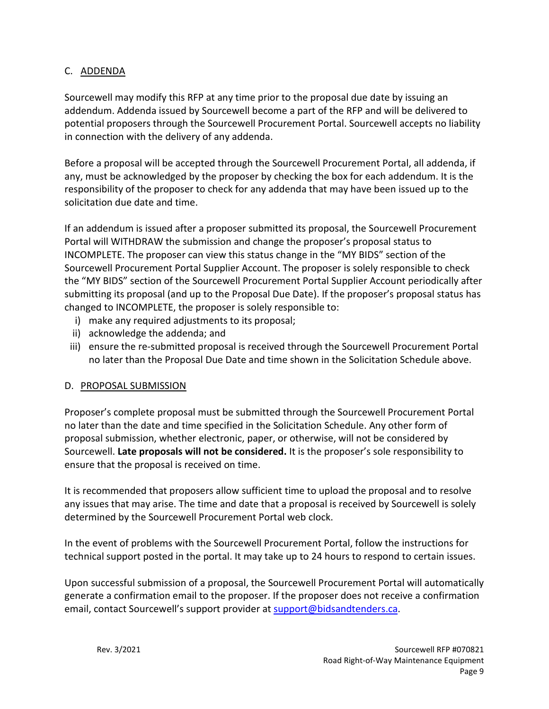## C. ADDENDA

Sourcewell may modify this RFP at any time prior to the proposal due date by issuing an addendum. Addenda issued by Sourcewell become a part of the RFP and will be delivered to potential proposers through the Sourcewell Procurement Portal. Sourcewell accepts no liability in connection with the delivery of any addenda.

Before a proposal will be accepted through the Sourcewell Procurement Portal, all addenda, if any, must be acknowledged by the proposer by checking the box for each addendum. It is the responsibility of the proposer to check for any addenda that may have been issued up to the solicitation due date and time.

If an addendum is issued after a proposer submitted its proposal, the Sourcewell Procurement Portal will WITHDRAW the submission and change the proposer's proposal status to INCOMPLETE. The proposer can view this status change in the "MY BIDS" section of the Sourcewell Procurement Portal Supplier Account. The proposer is solely responsible to check the "MY BIDS" section of the Sourcewell Procurement Portal Supplier Account periodically after submitting its proposal (and up to the Proposal Due Date). If the proposer's proposal status has changed to INCOMPLETE, the proposer is solely responsible to:

- i) make any required adjustments to its proposal;
- ii) acknowledge the addenda; and
- iii) ensure the re-submitted proposal is received through the Sourcewell Procurement Portal no later than the Proposal Due Date and time shown in the Solicitation Schedule above.

## D. PROPOSAL SUBMISSION

Proposer's complete proposal must be submitted through the Sourcewell Procurement Portal no later than the date and time specified in the Solicitation Schedule. Any other form of proposal submission, whether electronic, paper, or otherwise, will not be considered by Sourcewell. **Late proposals will not be considered.** It is the proposer's sole responsibility to ensure that the proposal is received on time.

It is recommended that proposers allow sufficient time to upload the proposal and to resolve any issues that may arise. The time and date that a proposal is received by Sourcewell is solely determined by the Sourcewell Procurement Portal web clock.

In the event of problems with the Sourcewell Procurement Portal, follow the instructions for technical support posted in the portal. It may take up to 24 hours to respond to certain issues.

Upon successful submission of a proposal, the Sourcewell Procurement Portal will automatically generate a confirmation email to the proposer. If the proposer does not receive a confirmation email, contact Sourcewell's support provider at [support@bidsandtenders.ca.](mailto:support@bidsandtenders.ca)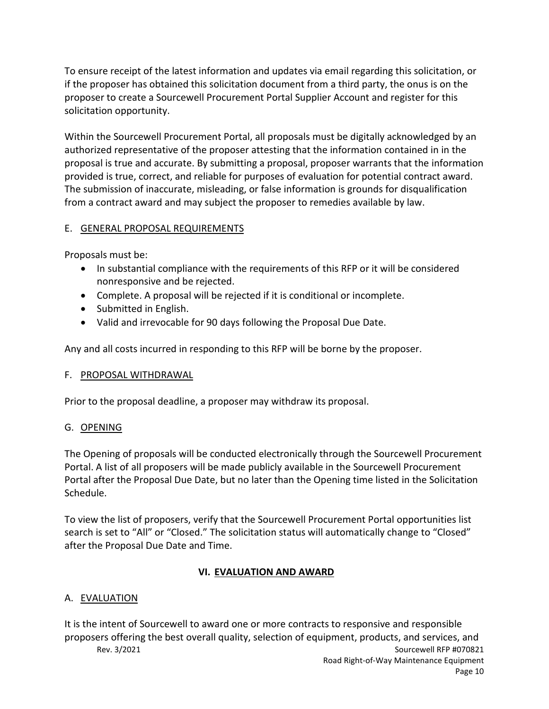To ensure receipt of the latest information and updates via email regarding this solicitation, or if the proposer has obtained this solicitation document from a third party, the onus is on the proposer to create a Sourcewell Procurement Portal Supplier Account and register for this solicitation opportunity.

Within the Sourcewell Procurement Portal, all proposals must be digitally acknowledged by an authorized representative of the proposer attesting that the information contained in in the proposal is true and accurate. By submitting a proposal, proposer warrants that the information provided is true, correct, and reliable for purposes of evaluation for potential contract award. The submission of inaccurate, misleading, or false information is grounds for disqualification from a contract award and may subject the proposer to remedies available by law.

## E. GENERAL PROPOSAL REQUIREMENTS

Proposals must be:

- In substantial compliance with the requirements of this RFP or it will be considered nonresponsive and be rejected.
- Complete. A proposal will be rejected if it is conditional or incomplete.
- Submitted in English.
- Valid and irrevocable for 90 days following the Proposal Due Date.

Any and all costs incurred in responding to this RFP will be borne by the proposer.

#### F. PROPOSAL WITHDRAWAL

Prior to the proposal deadline, a proposer may withdraw its proposal.

## G. OPENING

The Opening of proposals will be conducted electronically through the Sourcewell Procurement Portal. A list of all proposers will be made publicly available in the Sourcewell Procurement Portal after the Proposal Due Date, but no later than the Opening time listed in the Solicitation Schedule.

To view the list of proposers, verify that the Sourcewell Procurement Portal opportunities list search is set to "All" or "Closed." The solicitation status will automatically change to "Closed" after the Proposal Due Date and Time.

## **VI. EVALUATION AND AWARD**

## A. EVALUATION

Rev. 3/2021 **Sourcewell RFP #070821** It is the intent of Sourcewell to award one or more contracts to responsive and responsible proposers offering the best overall quality, selection of equipment, products, and services, and

Road Right-of-Way Maintenance Equipment Page 10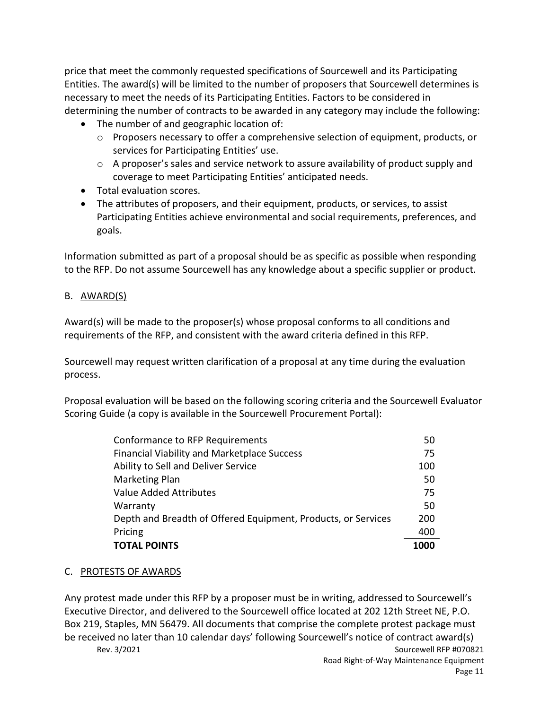price that meet the commonly requested specifications of Sourcewell and its Participating Entities. The award(s) will be limited to the number of proposers that Sourcewell determines is necessary to meet the needs of its Participating Entities. Factors to be considered in determining the number of contracts to be awarded in any category may include the following:

- The number of and geographic location of:
	- o Proposers necessary to offer a comprehensive selection of equipment, products, or services for Participating Entities' use.
	- $\circ$  A proposer's sales and service network to assure availability of product supply and coverage to meet Participating Entities' anticipated needs.
- Total evaluation scores.
- The attributes of proposers, and their equipment, products, or services, to assist Participating Entities achieve environmental and social requirements, preferences, and goals.

Information submitted as part of a proposal should be as specific as possible when responding to the RFP. Do not assume Sourcewell has any knowledge about a specific supplier or product.

## B. AWARD(S)

Award(s) will be made to the proposer(s) whose proposal conforms to all conditions and requirements of the RFP, and consistent with the award criteria defined in this RFP.

Sourcewell may request written clarification of a proposal at any time during the evaluation process.

Proposal evaluation will be based on the following scoring criteria and the Sourcewell Evaluator Scoring Guide (a copy is available in the Sourcewell Procurement Portal):

| Conformance to RFP Requirements                               | 50   |
|---------------------------------------------------------------|------|
| <b>Financial Viability and Marketplace Success</b>            | 75   |
| Ability to Sell and Deliver Service                           | 100  |
| <b>Marketing Plan</b>                                         | 50   |
| Value Added Attributes                                        | 75   |
| Warranty                                                      | 50   |
| Depth and Breadth of Offered Equipment, Products, or Services | 200  |
| Pricing                                                       | 400  |
| <b>TOTAL POINTS</b>                                           | 1000 |

## C. PROTESTS OF AWARDS

Rev. 3/2021 **Sourcewell RFP #070821** Any protest made under this RFP by a proposer must be in writing, addressed to Sourcewell's Executive Director, and delivered to the Sourcewell office located at 202 12th Street NE, P.O. Box 219, Staples, MN 56479. All documents that comprise the complete protest package must be received no later than 10 calendar days' following Sourcewell's notice of contract award(s)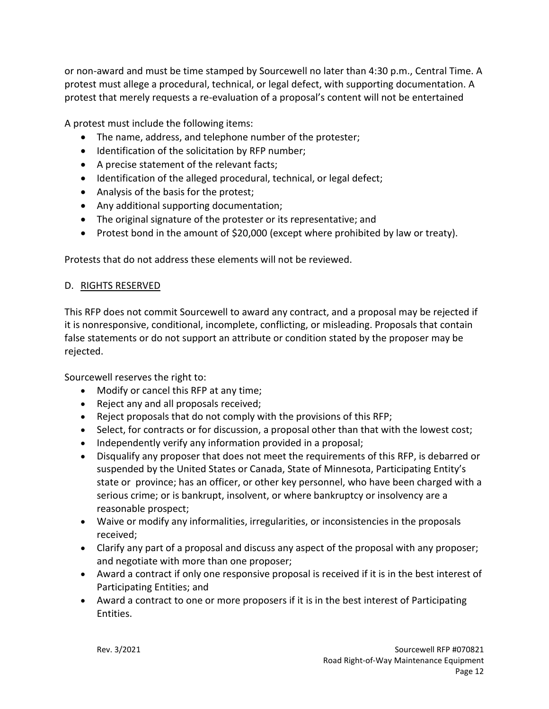or non-award and must be time stamped by Sourcewell no later than 4:30 p.m., Central Time. A protest must allege a procedural, technical, or legal defect, with supporting documentation. A protest that merely requests a re-evaluation of a proposal's content will not be entertained

A protest must include the following items:

- The name, address, and telephone number of the protester;
- Identification of the solicitation by RFP number;
- A precise statement of the relevant facts;
- Identification of the alleged procedural, technical, or legal defect;
- Analysis of the basis for the protest;
- Any additional supporting documentation;
- The original signature of the protester or its representative; and
- Protest bond in the amount of \$20,000 (except where prohibited by law or treaty).

Protests that do not address these elements will not be reviewed.

### D. RIGHTS RESERVED

This RFP does not commit Sourcewell to award any contract, and a proposal may be rejected if it is nonresponsive, conditional, incomplete, conflicting, or misleading. Proposals that contain false statements or do not support an attribute or condition stated by the proposer may be rejected.

Sourcewell reserves the right to:

- Modify or cancel this RFP at any time;
- Reject any and all proposals received;
- Reject proposals that do not comply with the provisions of this RFP;
- Select, for contracts or for discussion, a proposal other than that with the lowest cost;
- Independently verify any information provided in a proposal;
- Disqualify any proposer that does not meet the requirements of this RFP, is debarred or suspended by the United States or Canada, State of Minnesota, Participating Entity's state or province; has an officer, or other key personnel, who have been charged with a serious crime; or is bankrupt, insolvent, or where bankruptcy or insolvency are a reasonable prospect;
- Waive or modify any informalities, irregularities, or inconsistencies in the proposals received;
- Clarify any part of a proposal and discuss any aspect of the proposal with any proposer; and negotiate with more than one proposer;
- Award a contract if only one responsive proposal is received if it is in the best interest of Participating Entities; and
- Award a contract to one or more proposers if it is in the best interest of Participating Entities.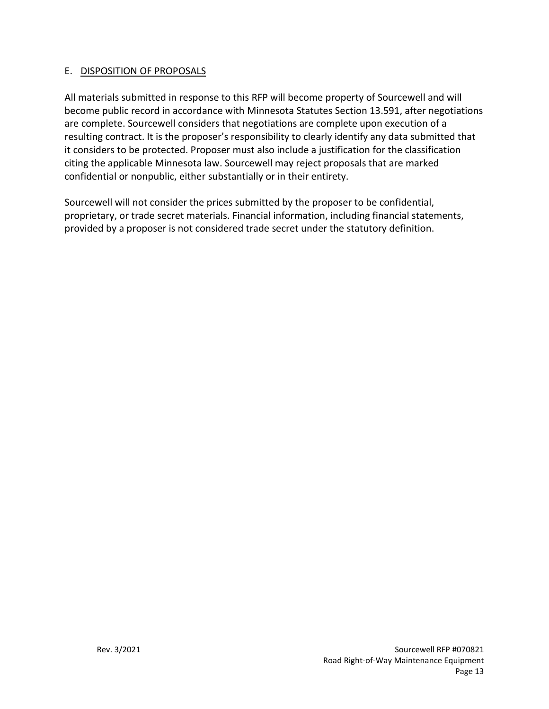### E. DISPOSITION OF PROPOSALS

All materials submitted in response to this RFP will become property of Sourcewell and will become public record in accordance with Minnesota Statutes Section 13.591, after negotiations are complete. Sourcewell considers that negotiations are complete upon execution of a resulting contract. It is the proposer's responsibility to clearly identify any data submitted that it considers to be protected. Proposer must also include a justification for the classification citing the applicable Minnesota law. Sourcewell may reject proposals that are marked confidential or nonpublic, either substantially or in their entirety.

Sourcewell will not consider the prices submitted by the proposer to be confidential, proprietary, or trade secret materials. Financial information, including financial statements, provided by a proposer is not considered trade secret under the statutory definition.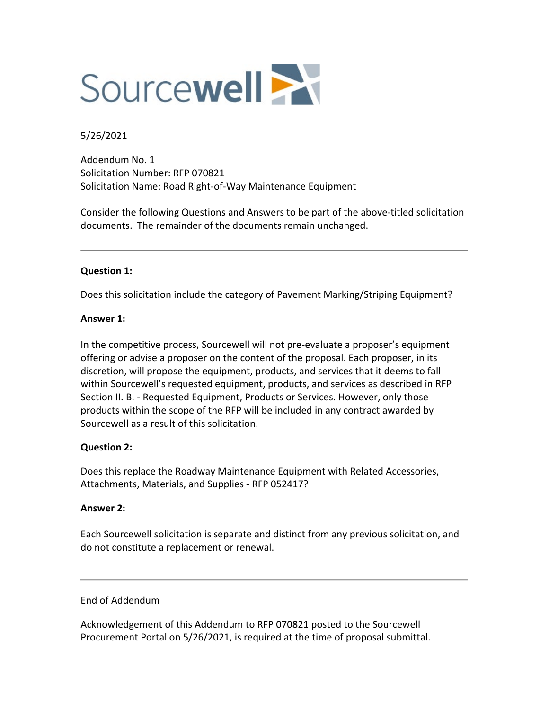

#### 5/26/2021

Addendum No. 1 Solicitation Number: RFP 070821 Solicitation Name: Road Right-of-Way Maintenance Equipment

Consider the following Questions and Answers to be part of the above-titled solicitation documents. The remainder of the documents remain unchanged.

#### **Question 1:**

Does this solicitation include the category of Pavement Marking/Striping Equipment?

#### **Answer 1:**

In the competitive process, Sourcewell will not pre-evaluate a proposer's equipment offering or advise a proposer on the content of the proposal. Each proposer, in its discretion, will propose the equipment, products, and services that it deems to fall within Sourcewell's requested equipment, products, and services as described in RFP Section II. B. - Requested Equipment, Products or Services. However, only those products within the scope of the RFP will be included in any contract awarded by Sourcewell as a result of this solicitation.

#### **Question 2:**

Does this replace the Roadway Maintenance Equipment with Related Accessories, Attachments, Materials, and Supplies - RFP 052417?

#### **Answer 2:**

Each Sourcewell solicitation is separate and distinct from any previous solicitation, and do not constitute a replacement or renewal.

#### End of Addendum

Acknowledgement of this Addendum to RFP 070821 posted to the Sourcewell Procurement Portal on 5/26/2021, is required at the time of proposal submittal.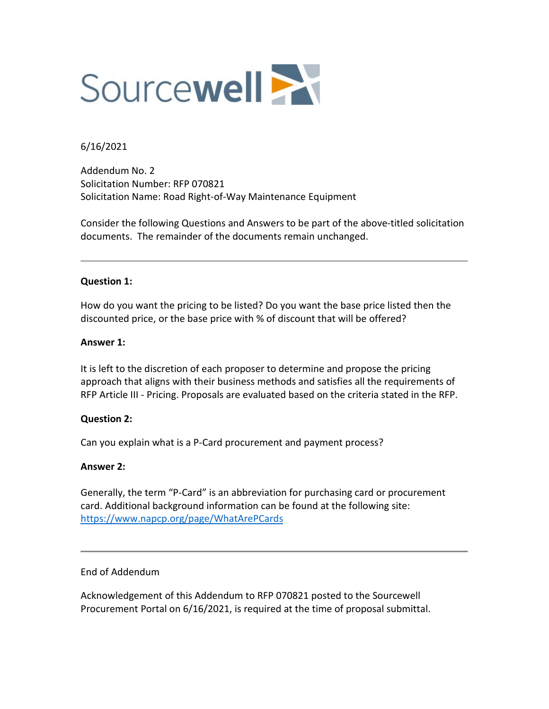

#### 6/16/2021

Addendum No. 2 Solicitation Number: RFP 070821 Solicitation Name: Road Right-of-Way Maintenance Equipment

Consider the following Questions and Answers to be part of the above-titled solicitation documents. The remainder of the documents remain unchanged.

#### **Question 1:**

How do you want the pricing to be listed? Do you want the base price listed then the discounted price, or the base price with % of discount that will be offered?

#### **Answer 1:**

It is left to the discretion of each proposer to determine and propose the pricing approach that aligns with their business methods and satisfies all the requirements of RFP Article III - Pricing. Proposals are evaluated based on the criteria stated in the RFP.

#### **Question 2:**

Can you explain what is a P-Card procurement and payment process?

#### **Answer 2:**

Generally, the term "P-Card" is an abbreviation for purchasing card or procurement card. Additional background information can be found at the following site: <https://www.napcp.org/page/WhatArePCards>

#### End of Addendum

Acknowledgement of this Addendum to RFP 070821 posted to the Sourcewell Procurement Portal on 6/16/2021, is required at the time of proposal submittal.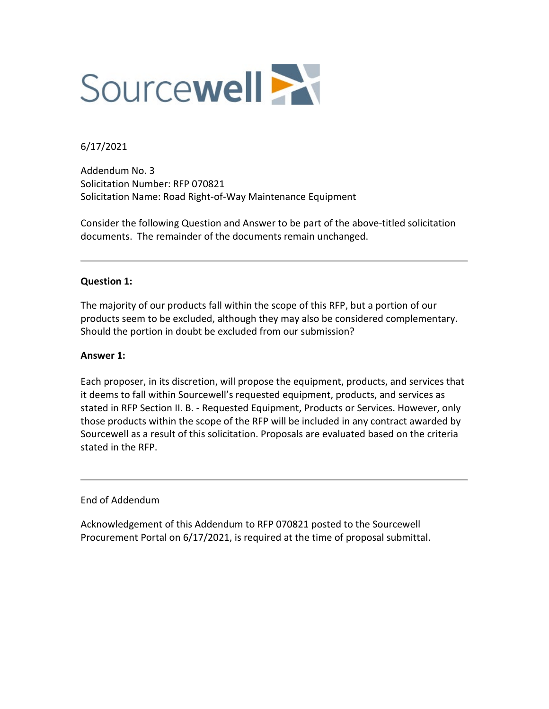

6/17/2021

Addendum No. 3 Solicitation Number: RFP 070821 Solicitation Name: Road Right-of-Way Maintenance Equipment

Consider the following Question and Answer to be part of the above-titled solicitation documents. The remainder of the documents remain unchanged.

#### **Question 1:**

The majority of our products fall within the scope of this RFP, but a portion of our products seem to be excluded, although they may also be considered complementary. Should the portion in doubt be excluded from our submission?

#### **Answer 1:**

Each proposer, in its discretion, will propose the equipment, products, and services that it deems to fall within Sourcewell's requested equipment, products, and services as stated in RFP Section II. B. - Requested Equipment, Products or Services. However, only those products within the scope of the RFP will be included in any contract awarded by Sourcewell as a result of this solicitation. Proposals are evaluated based on the criteria stated in the RFP.

End of Addendum

Acknowledgement of this Addendum to RFP 070821 posted to the Sourcewell Procurement Portal on 6/17/2021, is required at the time of proposal submittal.